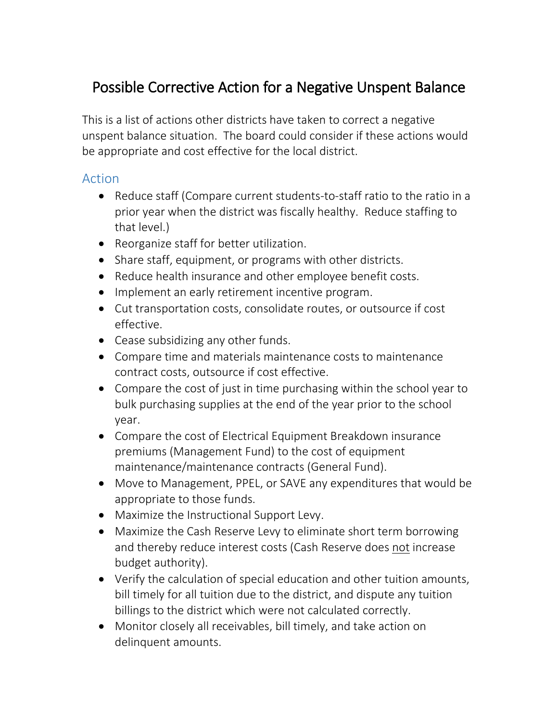## Possible Corrective Action for a Negative Unspent Balance

This is a list of actions other districts have taken to correct a negative unspent balance situation. The board could consider if these actions would be appropriate and cost effective for the local district.

## Action

- Reduce staff (Compare current students-to-staff ratio to the ratio in a prior year when the district was fiscally healthy. Reduce staffing to that level.)
- Reorganize staff for better utilization.
- Share staff, equipment, or programs with other districts.
- Reduce health insurance and other employee benefit costs.
- Implement an early retirement incentive program.
- Cut transportation costs, consolidate routes, or outsource if cost effective.
- Cease subsidizing any other funds.
- Compare time and materials maintenance costs to maintenance contract costs, outsource if cost effective.
- Compare the cost of just in time purchasing within the school year to bulk purchasing supplies at the end of the year prior to the school year.
- Compare the cost of Electrical Equipment Breakdown insurance premiums (Management Fund) to the cost of equipment maintenance/maintenance contracts (General Fund).
- Move to Management, PPEL, or SAVE any expenditures that would be appropriate to those funds.
- Maximize the Instructional Support Levy.
- Maximize the Cash Reserve Levy to eliminate short term borrowing and thereby reduce interest costs (Cash Reserve does not increase budget authority).
- Verify the calculation of special education and other tuition amounts, bill timely for all tuition due to the district, and dispute any tuition billings to the district which were not calculated correctly.
- Monitor closely all receivables, bill timely, and take action on delinquent amounts.